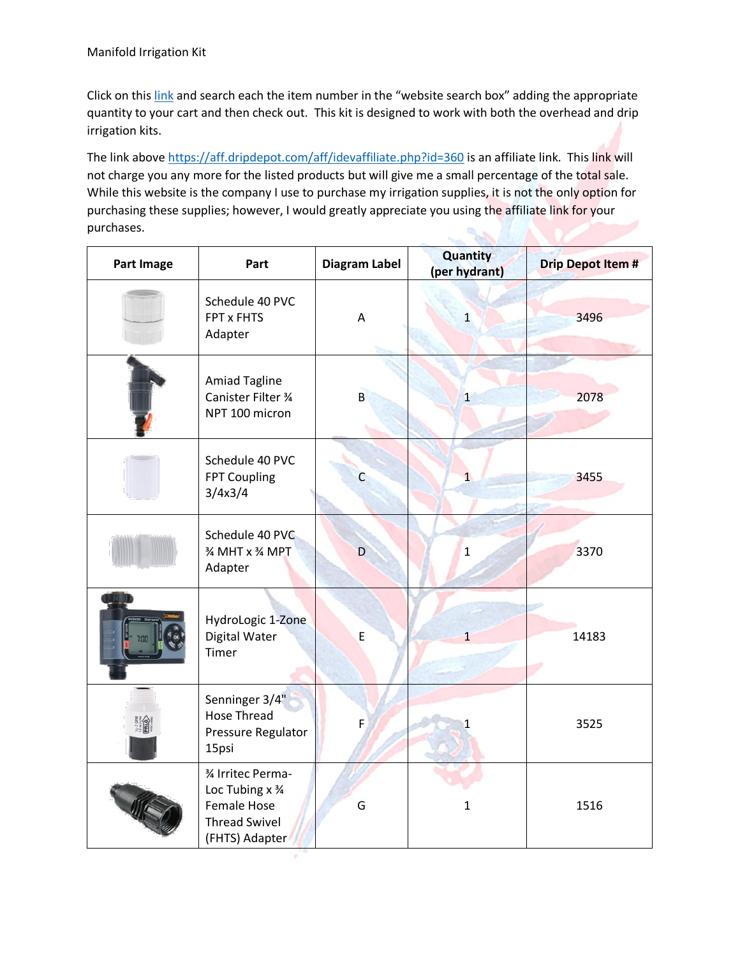Click on this [link](https://aff.dripdepot.com/aff/idevaffiliate.php?id=360) and search each the item number in the "website search box" adding the appropriate quantity to your cart and then check out. This kit is designed to work with both the overhead and drip irrigation kits.

The link above<https://aff.dripdepot.com/aff/idevaffiliate.php?id=360> is an affiliate link. This link will not charge you any more for the listed products but will give me a small percentage of the total sale. While this website is the company I use to purchase my irrigation supplies, it is not the only option for purchasing these supplies; however, I would greatly appreciate you using the affiliate link for your purchases.

| <b>Part Image</b>                                                                                                                                                                                                                                                                                                                                        | Part                                                                                            | Diagram Label | Quantity<br>(per hydrant) | <b>Drip Depot Item #</b> |
|----------------------------------------------------------------------------------------------------------------------------------------------------------------------------------------------------------------------------------------------------------------------------------------------------------------------------------------------------------|-------------------------------------------------------------------------------------------------|---------------|---------------------------|--------------------------|
|                                                                                                                                                                                                                                                                                                                                                          | Schedule 40 PVC<br>FPT x FHTS<br>Adapter                                                        | A             | $\mathbf{1}$              | 3496                     |
|                                                                                                                                                                                                                                                                                                                                                          | <b>Amiad Tagline</b><br>Canister Filter 3⁄4<br>NPT 100 micron                                   | $\mathsf{B}$  | $\overline{1}$            | 2078                     |
|                                                                                                                                                                                                                                                                                                                                                          | Schedule 40 PVC<br>FPT Coupling<br>3/4x3/4                                                      | C             | $\mathbf{1}$              | 3455                     |
|                                                                                                                                                                                                                                                                                                                                                          | Schedule 40 PVC<br>3⁄4 MHT x 3⁄4 MPT<br>Adapter                                                 | D             | $\mathbf{1}$              | 3370                     |
|                                                                                                                                                                                                                                                                                                                                                          | HydroLogic 1-Zone<br>Digital Water<br>Timer                                                     | $\mathsf E$   | $\mathbf{1}$              | 14183                    |
| $\begin{picture}(180,10) \put(0,0){\line(1,0){15}} \put(0,0){\line(1,0){15}} \put(0,0){\line(1,0){15}} \put(0,0){\line(1,0){15}} \put(0,0){\line(1,0){15}} \put(0,0){\line(1,0){15}} \put(0,0){\line(1,0){15}} \put(0,0){\line(1,0){15}} \put(0,0){\line(1,0){15}} \put(0,0){\line(1,0){15}} \put(0,0){\line(1,0){15}} \put(0,0){\line(1,0){15}} \put(0$ | Senninger 3/4"<br><b>Hose Thread</b><br>Pressure Regulator<br>15psi                             | F             | 1                         | 3525                     |
|                                                                                                                                                                                                                                                                                                                                                          | 3⁄4 Irritec Perma-<br>Loc Tubing x 3/4<br>Female Hose<br><b>Thread Swivel</b><br>(FHTS) Adapter | G             | $\mathbf{1}$              | 1516                     |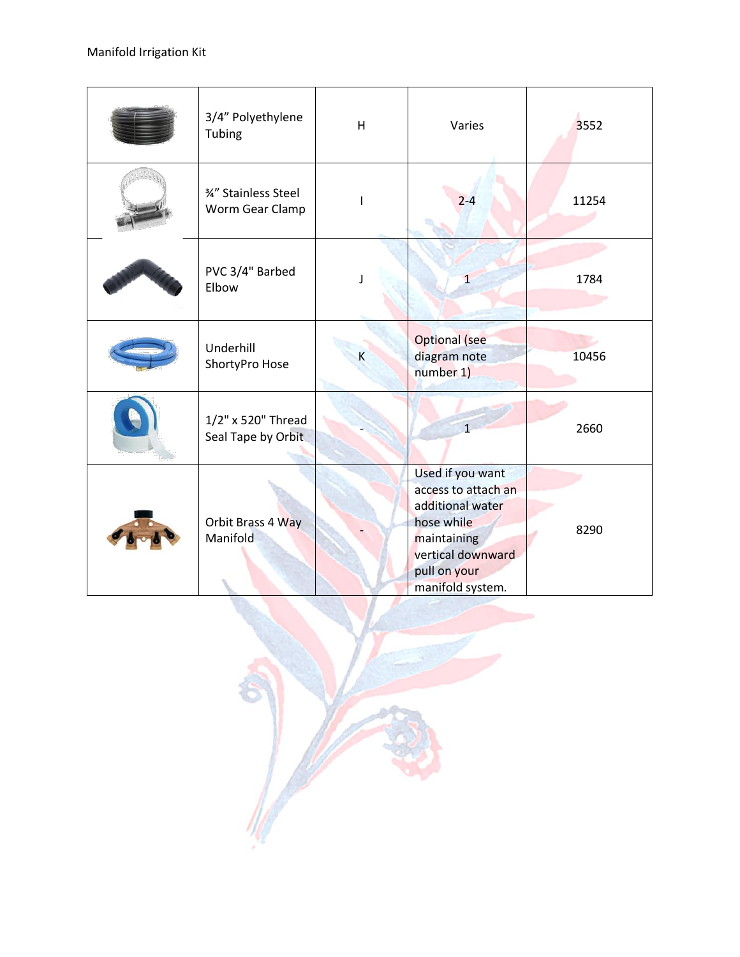| 3/4" Polyethylene<br>Tubing              | $\overline{\mathsf{H}}$ | Varies                                                                                                                                            | 3552  |
|------------------------------------------|-------------------------|---------------------------------------------------------------------------------------------------------------------------------------------------|-------|
| %" Stainless Steel<br>Worm Gear Clamp    | $\mathsf{I}$            | $2 - 4$                                                                                                                                           | 11254 |
| PVC 3/4" Barbed<br>Elbow                 | ı                       | $\mathbf{1}$                                                                                                                                      | 1784  |
| Underhill<br>ShortyPro Hose              | $\sf K$                 | <b>Optional</b> (see<br>diagram note<br>number 1)                                                                                                 | 10456 |
| 1/2" x 520" Thread<br>Seal Tape by Orbit |                         | $\mathbf{1}$                                                                                                                                      | 2660  |
| Orbit Brass 4 Way<br>Manifold            |                         | Used if you want<br>access to attach an<br>additional water<br>hose while<br>maintaining<br>vertical downward<br>pull on your<br>manifold system. | 8290  |